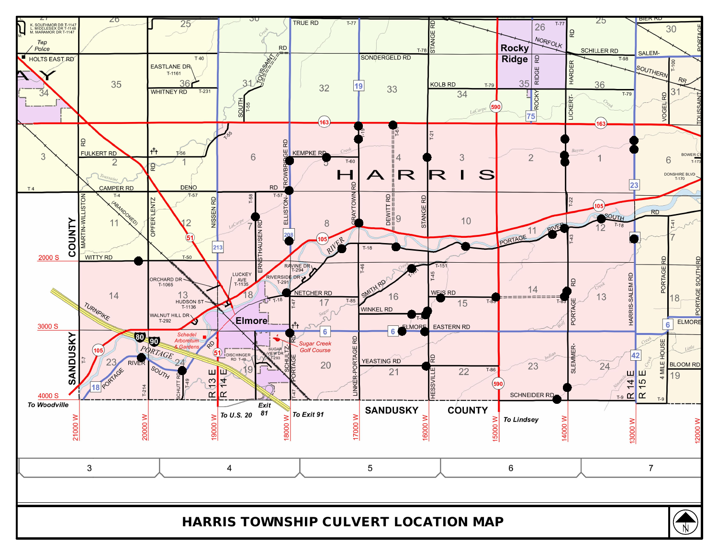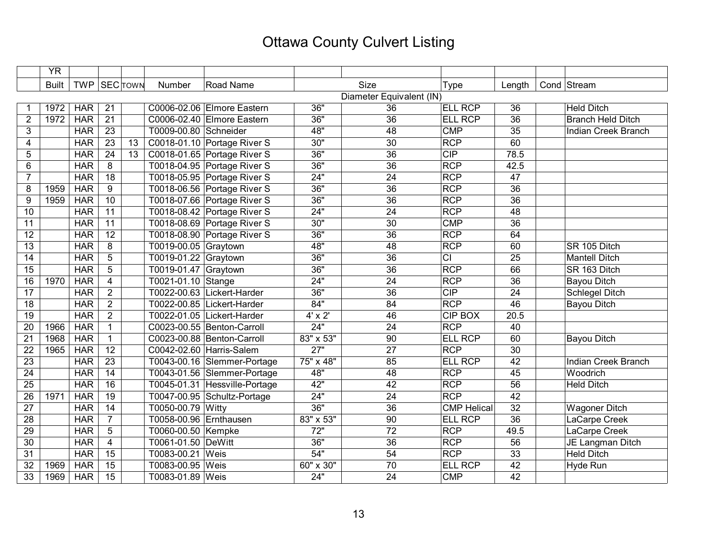## Ottawa County Culvert Listing

|                 | <b>YR</b>    |            |                                    |                          |                               |                    |                 |                    |                 |  |                            |
|-----------------|--------------|------------|------------------------------------|--------------------------|-------------------------------|--------------------|-----------------|--------------------|-----------------|--|----------------------------|
|                 | <b>Built</b> |            | TWP SEC TOWN                       | Number                   | Road Name                     |                    | <b>Size</b>     | Type               | Length          |  | Cond Stream                |
|                 |              |            |                                    |                          | Diameter Equivalent (IN)      |                    |                 |                    |                 |  |                            |
|                 | 1972         | <b>HAR</b> | 21                                 |                          | C0006-02.06 Elmore Eastern    | 36"                | 36              | <b>ELL RCP</b>     | 36              |  | <b>Held Ditch</b>          |
| $\overline{2}$  | 1972         | HAR        | $\overline{21}$                    |                          | C0006-02.40 Elmore Eastern    | 36"                | $\overline{36}$ | <b>ELL RCP</b>     | 36              |  | <b>Branch Held Ditch</b>   |
| 3               |              | <b>HAR</b> | 23                                 | T0009-00.80 Schneider    |                               | 48"                | 48              | <b>CMP</b>         | 35              |  | Indian Creek Branch        |
| 4               |              | <b>HAR</b> | $\overline{23}$<br>$\overline{13}$ |                          | C0018-01.10 Portage River S   | 30"                | $\overline{30}$ | <b>RCP</b>         | 60              |  |                            |
| 5               |              | <b>HAR</b> | $\overline{24}$<br>13              |                          | C0018-01.65 Portage River S   | 36"                | $\overline{36}$ | CIP                | 78.5            |  |                            |
| 6               |              | <b>HAR</b> | 8                                  |                          | T0018-04.95 Portage River S   | 36"                | 36              | <b>RCP</b>         | 42.5            |  |                            |
| $\overline{7}$  |              | <b>HAR</b> | $\overline{18}$                    |                          | T0018-05.95 Portage River S   | 24"                | $\overline{24}$ | RCP                | 47              |  |                            |
| 8               | 1959         | <b>HAR</b> | $9\,$                              |                          | T0018-06.56 Portage River S   | 36"                | 36              | <b>RCP</b>         | 36              |  |                            |
| 9               | 1959         | <b>HAR</b> | $\overline{10}$                    |                          | T0018-07.66 Portage River S   | 36"                | $\overline{36}$ | <b>RCP</b>         | 36              |  |                            |
| 10              |              | <b>HAR</b> | 11                                 |                          | T0018-08.42 Portage River S   | 24"                | $\overline{24}$ | <b>RCP</b>         | $\overline{48}$ |  |                            |
| 11              |              | <b>HAR</b> | $\overline{11}$                    |                          | T0018-08.69 Portage River S   | 30"                | 30              | <b>CMP</b>         | 36              |  |                            |
| 12              |              | <b>HAR</b> | 12                                 |                          | T0018-08.90 Portage River S   | 36"                | 36              | <b>RCP</b>         | 64              |  |                            |
| 13              |              | <b>HAR</b> | 8                                  | T0019-00.05 Graytown     |                               | 48"                | 48              | <b>RCP</b>         | 60              |  | SR 105 Ditch               |
| 14              |              | <b>HAR</b> | 5                                  | T0019-01.22 Graytown     |                               | 36"                | $\overline{36}$ | $\overline{c}$     | 25              |  | <b>Mantell Ditch</b>       |
| 15              |              | <b>HAR</b> | 5                                  | T0019-01.47 Graytown     |                               | 36"                | $\overline{36}$ | <b>RCP</b>         | 66              |  | SR 163 Ditch               |
| 16              | 1970         | <b>HAR</b> | $\overline{4}$                     | T0021-01.10 Stange       |                               | 24"                | 24              | <b>RCP</b>         | $\overline{36}$ |  | <b>Bayou Ditch</b>         |
| $\overline{17}$ |              | <b>HAR</b> | $\overline{2}$                     |                          | T0022-00.63 Lickert-Harder    | 36"                | $\overline{36}$ | CIP                | $\overline{24}$ |  | <b>Schlegel Ditch</b>      |
| 18              |              | <b>HAR</b> | $\overline{2}$                     |                          | T0022-00.85 Lickert-Harder    | 84"                | 84              | <b>RCP</b>         | 46              |  | <b>Bayou Ditch</b>         |
| 19              |              | <b>HAR</b> | $\overline{2}$                     |                          | T0022-01.05 Lickert-Harder    | $4' \times 2'$     | 46              | <b>CIP BOX</b>     | 20.5            |  |                            |
| 20              | 1966         | <b>HAR</b> | $\mathbf{1}$                       |                          | C0023-00.55 Benton-Carroll    | 24"                | 24              | <b>RCP</b>         | 40              |  |                            |
| 21              | 1968         | <b>HAR</b> | $\mathbf{1}$                       |                          | C0023-00.88 Benton-Carroll    | $83'' \times 53''$ | $\overline{90}$ | <b>ELL RCP</b>     | 60              |  | <b>Bayou Ditch</b>         |
| 22              | 1965         | <b>HAR</b> | 12                                 | C0042-02.60 Harris-Salem |                               | 27"                | $\overline{27}$ | RCP                | 30              |  |                            |
| 23              |              | <b>HAR</b> | $\overline{23}$                    |                          | T0043-00.16 Slemmer-Portage   | 75" x 48"          | 85              | <b>ELL RCP</b>     | 42              |  | <b>Indian Creek Branch</b> |
| 24              |              | <b>HAR</b> | $\overline{14}$                    |                          | T0043-01.56 Slemmer-Portage   | 48"                | 48              | <b>RCP</b>         | 45              |  | Woodrich                   |
| $\overline{25}$ |              | <b>HAR</b> | $\overline{16}$                    |                          | T0045-01.31 Hessville-Portage | 42"                | $\overline{42}$ | <b>RCP</b>         | $\overline{56}$ |  | <b>Held Ditch</b>          |
| 26              | 1971         | <b>HAR</b> | 19                                 |                          | T0047-00.95 Schultz-Portage   | 24"                | 24              | <b>RCP</b>         | 42              |  |                            |
| 27              |              | <b>HAR</b> | 14                                 | T0050-00.79 Witty        |                               | 36"                | 36              | <b>CMP Helical</b> | 32              |  | <b>Wagoner Ditch</b>       |
| 28              |              | <b>HAR</b> | $\overline{7}$                     | T0058-00.96 Ernthausen   |                               | 83" x 53"          | 90              | <b>ELL RCP</b>     | 36              |  | LaCarpe Creek              |
| 29              |              | <b>HAR</b> | $\sqrt{5}$                         | T0060-00.50 Kempke       |                               | 72"                | $\overline{72}$ | <b>RCP</b>         | 49.5            |  | LaCarpe Creek              |
| 30              |              | <b>HAR</b> | $\overline{4}$                     | T0061-01.50 DeWitt       |                               | 36"                | $\overline{36}$ | <b>RCP</b>         | $\overline{56}$ |  | JE Langman Ditch           |
| 31              |              | <b>HAR</b> | 15                                 | T0083-00.21 Weis         |                               | 54"                | 54              | <b>RCP</b>         | 33              |  | <b>Held Ditch</b>          |
| 32              | 1969         | <b>HAR</b> | 15                                 | T0083-00.95 Weis         |                               | 60" x 30"          | 70              | <b>ELL RCP</b>     | 42              |  | Hyde Run                   |
| 33              | 1969         | <b>HAR</b> | 15                                 | T0083-01.89 Weis         |                               | 24"                | 24              | <b>CMP</b>         | 42              |  |                            |